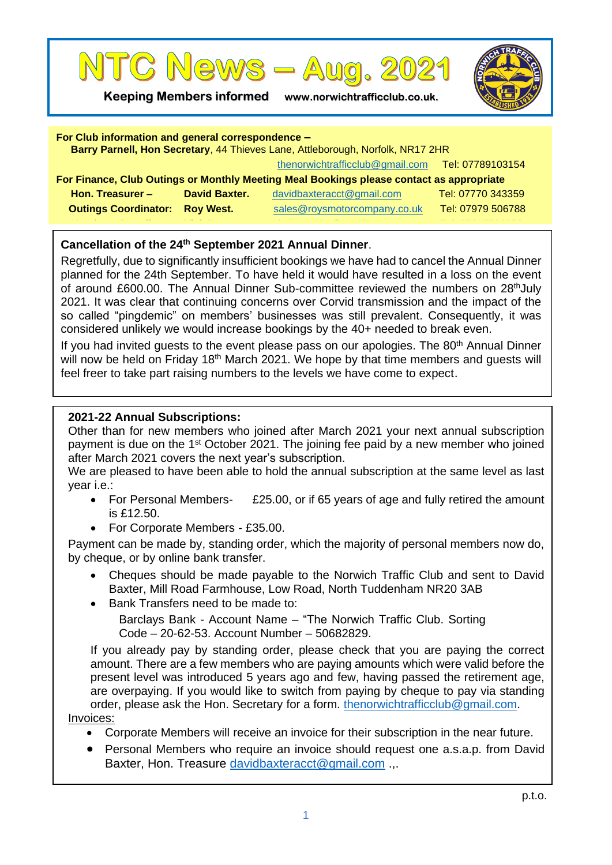

**Keeping Members informed www.norwichtrafficclub.co.uk.**



| For Club information and general correspondence -<br>Barry Parnell, Hon Secretary, 44 Thieves Lane, Attleborough, Norfolk, NR17 2HR |                      |                                 |                   |
|-------------------------------------------------------------------------------------------------------------------------------------|----------------------|---------------------------------|-------------------|
|                                                                                                                                     |                      | thenorwichtrafficclub@gmail.com | Tel: 07789103154  |
| For Finance, Club Outings or Monthly Meeting Meal Bookings please contact as appropriate                                            |                      |                                 |                   |
| Hon. Treasurer -                                                                                                                    | <b>David Baxter.</b> | davidbaxteracct@gmail.com       | Tel: 07770 343359 |
| <b>Outings Coordinator:</b>                                                                                                         | <b>Roy West.</b>     | sales@roysmotorcompany.co.uk    | Tel: 07979 506788 |
|                                                                                                                                     |                      |                                 |                   |

## **Cancellation of the 24th September 2021 Annual Dinner**.

Regretfully, due to significantly insufficient bookings we have had to cancel the Annual Dinner planned for the 24th September. To have held it would have resulted in a loss on the event of around £600.00. The Annual Dinner Sub-committee reviewed the numbers on 28<sup>th</sup>July 2021. It was clear that continuing concerns over Corvid transmission and the impact of the so called "pingdemic" on members' businesses was still prevalent. Consequently, it was considered unlikely we would increase bookings by the 40+ needed to break even.

If you had invited guests to the event please pass on our apologies. The 80<sup>th</sup> Annual Dinner will now be held on Friday 18<sup>th</sup> March 2021. We hope by that time members and quests will feel freer to take part raising numbers to the levels we have come to expect.

#### **2021-22 Annual Subscriptions:**

Other than for new members who joined after March 2021 your next annual subscription payment is due on the 1st October 2021. The joining fee paid by a new member who joined after March 2021 covers the next year's subscription.

We are pleased to have been able to hold the annual subscription at the same level as last year i.e.:

- For Personal Members- £25.00, or if 65 years of age and fully retired the amount is £12.50.
- For Corporate Members £35.00.

Payment can be made by, standing order, which the majority of personal members now do, by cheque, or by online bank transfer.

- Cheques should be made payable to the Norwich Traffic Club and sent to David Baxter, Mill Road Farmhouse, Low Road, North Tuddenham NR20 3AB
- Bank Transfers need to be made to:

Barclays Bank - Account Name – "The Norwich Traffic Club. Sorting Code – 20-62-53. Account Number – 50682829.

If you already pay by standing order, please check that you are paying the correct amount. There are a few members who are paying amounts which were valid before the present level was introduced 5 years ago and few, having passed the retirement age, are overpaying. If you would like to switch from paying by cheque to pay via standing order, please ask the Hon. Secretary for a form. [thenorwichtrafficclub@gmail.com.](mailto:thenorwichtrafficclub@gmail.com)

# Invoices:

- Corporate Members will receive an invoice for their subscription in the near future.
- Personal Members who require an invoice should request one a.s.a.p. from David Baxter, Hon. Treasure [davidbaxteracct@gmail.com](mailto:davidbaxteracct@gmail.com) .,.